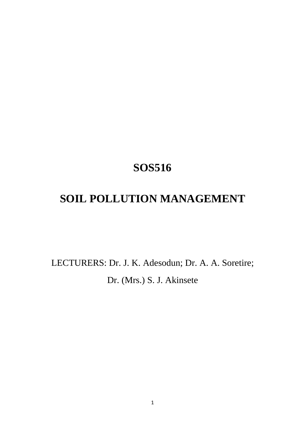# **SOS516**

# **SOIL POLLUTION MANAGEMENT**

LECTURERS: Dr. J. K. Adesodun; Dr. A. A. Soretire; Dr. (Mrs.) S. J. Akinsete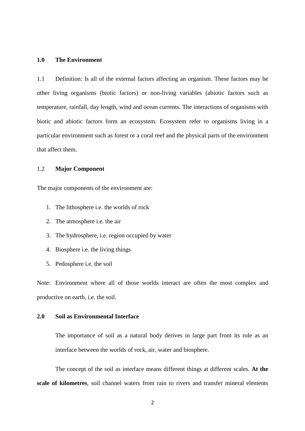#### **1.0 The Environment**

1.1 Definition: Is all of the external factors affecting an organism. These factors may be other living organisms (biotic factors) or non-living variables (abiotic factors such as temperature, rainfall, day length, wind and ocean currents. The interactions of organisms with biotic and abiotic factors form an ecosystem. Ecosystem refer to organisms living in a particular environment such as forest or a coral reef and the physical parts of the environment that affect them.

#### 1.2 **Major Component**

The major components of the environment are:

- 1. The lithosphere i.e. the worlds of rock
- 2. The atmosphere i.e. the air
- 3. The hydrosphere, i.e. region occupied by water
- 4. Biosphere i.e. the living things
- 5. Pedosphere i.e. the soil

Note: Environment where all of those worlds interact are often the most complex and productive on earth, i.e. the soil.

#### **2.0 Soil as Environmental Interface**

The importance of soil as a natural body derives in large part from its role as an interface between the worlds of rock, air, water and biosphere.

 The concept of the soil as interface means different things at different scales. **At the scale of kilometres**, soil channel waters from rain to rivers and transfer mineral elements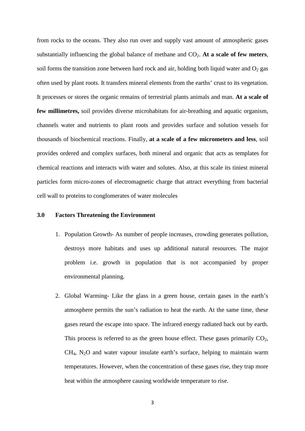from rocks to the oceans. They also run over and supply vast amount of atmospheric gases substantially influencing the global balance of methane and  $CO<sub>2</sub>$ . At a scale of few meters, soil forms the transition zone between hard rock and air, holding both liquid water and  $O_2$  gas often used by plant roots. It transfers mineral elements from the earths' crust to its vegetation. It processes or stores the organic remains of terrestrial plants animals and man. **At a scale of few millimetres,** soil provides diverse microhabitats for air-breathing and aquatic organism, channels water and nutrients to plant roots and provides surface and solution vessels for thousands of biochemical reactions. Finally, **at a scale of a few micrometers and less**, soil provides ordered and complex surfaces, both mineral and organic that acts as templates for chemical reactions and interacts with water and solutes. Also, at this scale its tiniest mineral particles form micro-zones of electromagnetic charge that attract everything from bacterial cell wall to proteins to conglomerates of water molecules

#### **3.0 Factors Threatening the Environment**

- 1. Population Growth- As number of people increases, crowding generates pollution, destroys more habitats and uses up additional natural resources. The major problem i.e. growth in population that is not accompanied by proper environmental planning.
- 2. Global Warming- Like the glass in a green house, certain gases in the earth's atmosphere permits the sun's radiation to heat the earth. At the same time, these gases retard the escape into space. The infrared energy radiated back out by earth. This process is referred to as the green house effect. These gases primarily  $CO<sub>2</sub>$ ,  $CH<sub>4</sub>$ , N<sub>2</sub>O and water vapour insulate earth's surface, helping to maintain warm temperatures. However, when the concentration of these gases rise, they trap more heat within the atmosphere causing worldwide temperature to rise.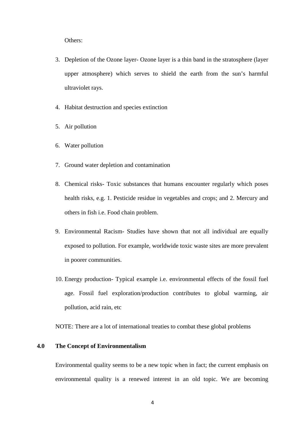Others:

- 3. Depletion of the Ozone layer- Ozone layer is a thin band in the stratosphere (layer upper atmosphere) which serves to shield the earth from the sun's harmful ultraviolet rays.
- 4. Habitat destruction and species extinction
- 5. Air pollution
- 6. Water pollution
- 7. Ground water depletion and contamination
- 8. Chemical risks- Toxic substances that humans encounter regularly which poses health risks, e.g. 1. Pesticide residue in vegetables and crops; and 2. Mercury and others in fish i.e. Food chain problem.
- 9. Environmental Racism- Studies have shown that not all individual are equally exposed to pollution. For example, worldwide toxic waste sites are more prevalent in poorer communities.
- 10. Energy production- Typical example i.e. environmental effects of the fossil fuel age. Fossil fuel exploration/production contributes to global warming, air pollution, acid rain, etc

NOTE: There are a lot of international treaties to combat these global problems

## **4.0 The Concept of Environmentalism**

Environmental quality seems to be a new topic when in fact; the current emphasis on environmental quality is a renewed interest in an old topic. We are becoming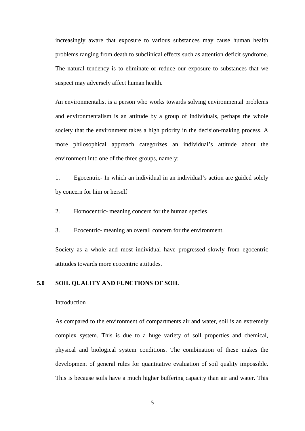increasingly aware that exposure to various substances may cause human health problems ranging from death to subclinical effects such as attention deficit syndrome. The natural tendency is to eliminate or reduce our exposure to substances that we suspect may adversely affect human health.

An environmentalist is a person who works towards solving environmental problems and environmentalism is an attitude by a group of individuals, perhaps the whole society that the environment takes a high priority in the decision-making process. A more philosophical approach categorizes an individual's attitude about the environment into one of the three groups, namely:

1. Egocentric- In which an individual in an individual's action are guided solely by concern for him or herself

- 2. Homocentric- meaning concern for the human species
- 3. Ecocentric- meaning an overall concern for the environment.

Society as a whole and most individual have progressed slowly from egocentric attitudes towards more ecocentric attitudes.

#### **5.0 SOIL QUALITY AND FUNCTIONS OF SOIL**

#### Introduction

As compared to the environment of compartments air and water, soil is an extremely complex system. This is due to a huge variety of soil properties and chemical, physical and biological system conditions. The combination of these makes the development of general rules for quantitative evaluation of soil quality impossible. This is because soils have a much higher buffering capacity than air and water. This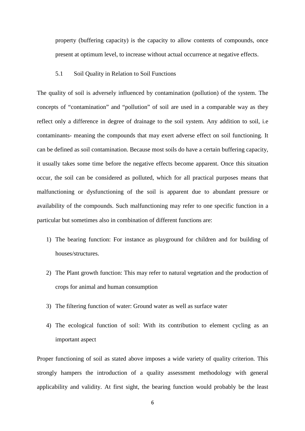property (buffering capacity) is the capacity to allow contents of compounds, once present at optimum level, to increase without actual occurrence at negative effects.

5.1 Soil Quality in Relation to Soil Functions

The quality of soil is adversely influenced by contamination (pollution) of the system. The concepts of "contamination" and "pollution" of soil are used in a comparable way as they reflect only a difference in degree of drainage to the soil system. Any addition to soil, i.e contaminants- meaning the compounds that may exert adverse effect on soil functioning. It can be defined as soil contamination. Because most soils do have a certain buffering capacity, it usually takes some time before the negative effects become apparent. Once this situation occur, the soil can be considered as polluted, which for all practical purposes means that malfunctioning or dysfunctioning of the soil is apparent due to abundant pressure or availability of the compounds. Such malfunctioning may refer to one specific function in a particular but sometimes also in combination of different functions are:

- 1) The bearing function: For instance as playground for children and for building of houses/structures.
- 2) The Plant growth function: This may refer to natural vegetation and the production of crops for animal and human consumption
- 3) The filtering function of water: Ground water as well as surface water
- 4) The ecological function of soil: With its contribution to element cycling as an important aspect

Proper functioning of soil as stated above imposes a wide variety of quality criterion. This strongly hampers the introduction of a quality assessment methodology with general applicability and validity. At first sight, the bearing function would probably be the least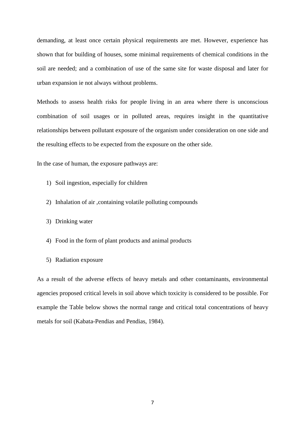demanding, at least once certain physical requirements are met. However, experience has shown that for building of houses, some minimal requirements of chemical conditions in the soil are needed; and a combination of use of the same site for waste disposal and later for urban expansion ie not always without problems.

Methods to assess health risks for people living in an area where there is unconscious combination of soil usages or in polluted areas, requires insight in the quantitative relationships between pollutant exposure of the organism under consideration on one side and the resulting effects to be expected from the exposure on the other side.

In the case of human, the exposure pathways are:

- 1) Soil ingestion, especially for children
- 2) Inhalation of air ,containing volatile polluting compounds
- 3) Drinking water
- 4) Food in the form of plant products and animal products
- 5) Radiation exposure

As a result of the adverse effects of heavy metals and other contaminants, environmental agencies proposed critical levels in soil above which toxicity is considered to be possible. For example the Table below shows the normal range and critical total concentrations of heavy metals for soil (Kabata-Pendias and Pendias, 1984).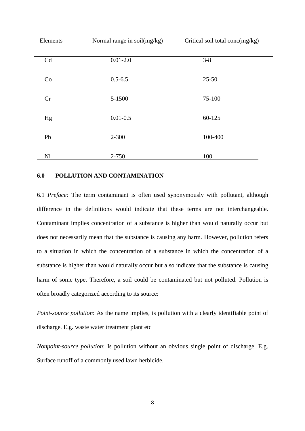| Elements | Normal range in soil(mg/kg) | Critical soil total conc(mg/kg) |
|----------|-----------------------------|---------------------------------|
| Cd       | $0.01 - 2.0$                | $3 - 8$                         |
| Co       | $0.5 - 6.5$                 | $25 - 50$                       |
| Cr       | 5-1500                      | 75-100                          |
| Hg       | $0.01 - 0.5$                | 60-125                          |
| Pb       | $2 - 300$                   | 100-400                         |
| Ni       | 2-750                       | 100                             |

#### **6.0 POLLUTION AND CONTAMINATION**

6.1 *Preface:* The term contaminant is often used synonymously with pollutant, although difference in the definitions would indicate that these terms are not interchangeable. Contaminant implies concentration of a substance is higher than would naturally occur but does not necessarily mean that the substance is causing any harm. However, pollution refers to a situation in which the concentration of a substance in which the concentration of a substance is higher than would naturally occur but also indicate that the substance is causing harm of some type. Therefore, a soil could be contaminated but not polluted. Pollution is often broadly categorized according to its source:

*Point-source pollution*: As the name implies, is pollution with a clearly identifiable point of discharge. E.g. waste water treatment plant etc

*Nonpoint-source pollution*: Is pollution without an obvious single point of discharge. E.g. Surface runoff of a commonly used lawn herbicide.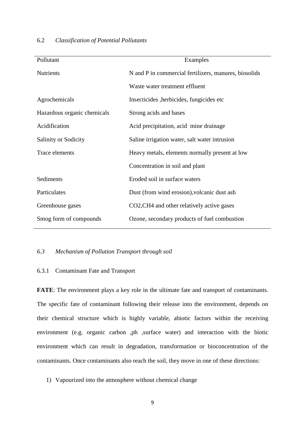| Pollutant                   | Examples                                              |
|-----------------------------|-------------------------------------------------------|
| <b>Nutrients</b>            | N and P in commercial fertilizers, manures, biosolids |
|                             | Waste water treatment effluent                        |
| Agrochemicals               | Insecticides, herbicides, fungicides etc.             |
| Hazardous organic chemicals | Strong acids and bases                                |
| Acidification               | Acid precipitation, acid mine drainage                |
| <b>Salinity or Sodicity</b> | Saline irrigation water, salt water intrusion         |
| Trace elements              | Heavy metals, elements normally present at low        |
|                             | Concentration in soil and plant                       |
| Sediments                   | Eroded soil in surface waters                         |
| Particulates                | Dust (from wind erosion), volcanic dust ash           |
| Greenhouse gases            | CO2, CH4 and other relatively active gases            |
| Smog form of compounds      | Ozone, secondary products of fuel combustion          |

#### 6.2 *Classification of Potential Pollutants*

# *6.3 Mechanism of Pollution Transport through soil*

#### 6.3.1 Contaminant Fate and Transport

**FATE**: The environment plays a key role in the ultimate fate and transport of contaminants. The specific fate of contaminant following their release into the environment, depends on their chemical structure which is highly variable, abiotic factors within the receiving environment (e.g. organic carbon ,ph ,surface water) and interaction with the biotic environment which can result in degradation, transformation or bioconcentration of the contaminants. Once contaminants also reach the soil, they move in one of these directions:

1) Vapourized into the atmosphere without chemical change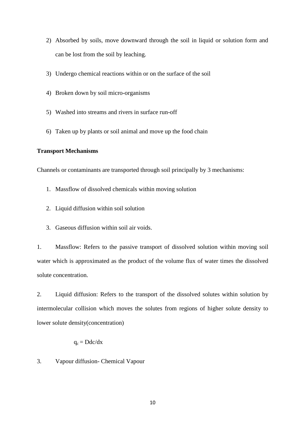- 2) Absorbed by soils, move downward through the soil in liquid or solution form and can be lost from the soil by leaching.
- 3) Undergo chemical reactions within or on the surface of the soil
- 4) Broken down by soil micro-organisms
- 5) Washed into streams and rivers in surface run-off
- 6) Taken up by plants or soil animal and move up the food chain

# **Transport Mechanisms**

Channels or contaminants are transported through soil principally by 3 mechanisms:

- 1. Massflow of dissolved chemicals within moving solution
- 2. Liquid diffusion within soil solution
- 3. Gaseous diffusion within soil air voids.

1. Massflow: Refers to the passive transport of dissolved solution within moving soil water which is approximated as the product of the volume flux of water times the dissolved solute concentration.

2. Liquid diffusion: Refers to the transport of the dissolved solutes within solution by intermolecular collision which moves the solutes from regions of higher solute density to lower solute density(concentration)

 $q_c = Ddc/dx$ 

3. Vapour diffusion- Chemical Vapour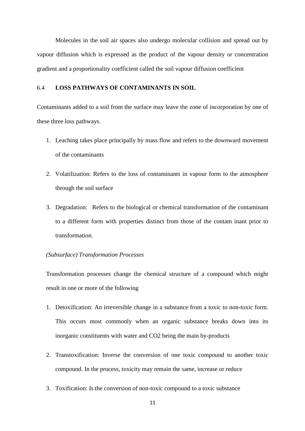Molecules in the soil air spaces also undergo molecular collision and spread out by vapour diffusion which is expressed as the product of the vapour density or concentration gradient and a proportionality coefficient called the soil vapour diffusion coefficient

### 6.4 **LOSS PATHWAYS OF CONTAMINANTS IN SOIL**

Contaminants added to a soil from the surface may leave the zone of incorporation by one of these three loss pathways.

- 1. Leaching takes place principally by mass flow and refers to the downward movement of the contaminants
- 2. Volatilization: Refers to the loss of contaminants in vapour form to the atmosphere through the soil surface
- 3. Degradation: Refers to the biological or chemical transformation of the contaminant to a different form with properties distinct from those of the contam inant prior to transformation.

# *(Subsurface) Transformation Processes*

Transformation processes change the chemical structure of a compound which might result in one or more of the following

- 1. Detoxification: An irreversible change in a substance from a toxic to non-toxic form. This occurs most commonly when an organic substance breaks down into its inorganic constituents with water and CO2 being the main by-products
- 2. Transtoxification: Inverse the conversion of one toxic compound to another toxic compound. In the process, toxicity may remain the same, increase or reduce
- 3. Toxification: Is the conversion of non-toxic compound to a toxic substance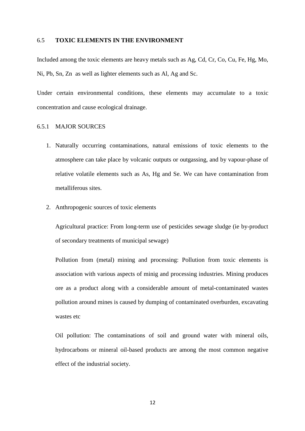#### 6.5 **TOXIC ELEMENTS IN THE ENVIRONMENT**

Included among the toxic elements are heavy metals such as Ag, Cd, Cr, Co, Cu, Fe, Hg, Mo, Ni, Pb, Sn, Zn as well as lighter elements such as Al, Ag and Sc.

Under certain environmental conditions, these elements may accumulate to a toxic concentration and cause ecological drainage.

#### 6.5.1 MAJOR SOURCES

- 1. Naturally occurring contaminations, natural emissions of toxic elements to the atmosphere can take place by volcanic outputs or outgassing, and by vapour-phase of relative volatile elements such as As, Hg and Se. We can have contamination from metalliferous sites.
- 2. Anthropogenic sources of toxic elements

Agricultural practice: From long-term use of pesticides sewage sludge (ie by-product of secondary treatments of municipal sewage)

Pollution from (metal) mining and processing: Pollution from toxic elements is association with various aspects of minig and processing industries. Mining produces ore as a product along with a considerable amount of metal-contaminated wastes pollution around mines is caused by dumping of contaminated overburden, excavating wastes etc

Oil pollution: The contaminations of soil and ground water with mineral oils, hydrocarbons or mineral oil-based products are among the most common negative effect of the industrial society.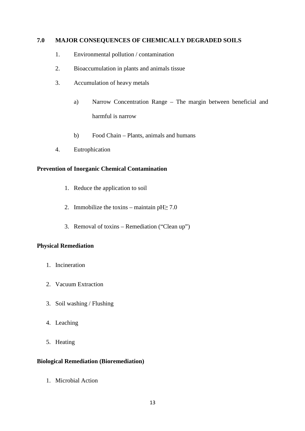# **7.0 MAJOR CONSEQUENCES OF CHEMICALLY DEGRADED SOILS**

- 1. Environmental pollution / contamination
- 2. Bioaccumulation in plants and animals tissue
- 3. Accumulation of heavy metals
	- a) Narrow Concentration Range The margin between beneficial and harmful is narrow
	- b) Food Chain Plants, animals and humans
- 4. Eutrophication

# **Prevention of Inorganic Chemical Contamination**

- 1. Reduce the application to soil
- 2. Immobilize the toxins maintain  $pH \geq 7.0$
- 3. Removal of toxins Remediation ("Clean up")

## **Physical Remediation**

- 1. Incineration
- 2. Vacuum Extraction
- 3. Soil washing / Flushing
- 4. Leaching
- 5. Heating

# **Biological Remediation (Bioremediation)**

1. Microbial Action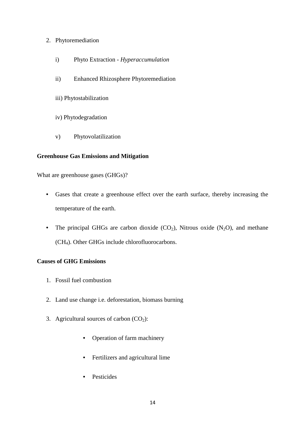# 2. Phytoremediation

- i) Phyto Extraction *Hyperaccumulation*
- ii) Enhanced Rhizosphere Phytoremediation
- iii) Phytostabilization
- iv) Phytodegradation
- v) Phytovolatilization

# **Greenhouse Gas Emissions and Mitigation**

What are greenhouse gases (GHGs)?

- Gases that create a greenhouse effect over the earth surface, thereby increasing the temperature of the earth.
- The principal GHGs are carbon dioxide  $(CO_2)$ , Nitrous oxide  $(N_2O)$ , and methane (CH4). Other GHGs include chlorofluorocarbons.

# **Causes of GHG Emissions**

- 1. Fossil fuel combustion
- 2. Land use change i.e. deforestation, biomass burning
- 3. Agricultural sources of carbon  $(CO<sub>2</sub>)$ :
	- Operation of farm machinery
	- Fertilizers and agricultural lime
	- Pesticides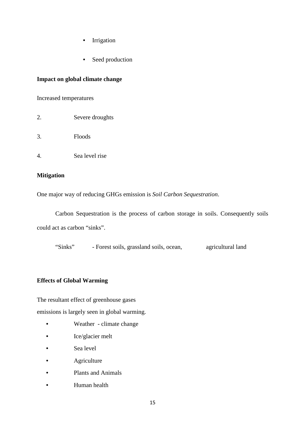- Irrigation
- Seed production

# **Impact on global climate change**

Increased temperatures

- 2. Severe droughts
- 3. Floods
- 4. Sea level rise

### **Mitigation**

One major way of reducing GHGs emission is *Soil Carbon Sequestration*.

 Carbon Sequestration is the process of carbon storage in soils. Consequently soils could act as carbon "sinks".

"Sinks" - Forest soils, grassland soils, ocean, agricultural land

### **Effects of Global Warming**

The resultant effect of greenhouse gases emissions is largely seen in global warming.

- Weather climate change
- Ice/glacier melt
- Sea level
- **Agriculture**
- Plants and Animals
- **Human health**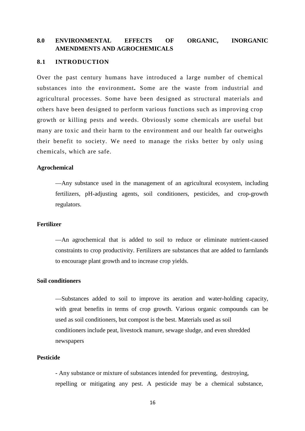# **8.0 ENVIRONMENTAL EFFECTS OF ORGANIC, INORGANIC AMENDMENTS AND AGROCHEMICALS**

#### **8.1 INTRODUCTION**

Over the past century humans have introduced a large number of chemical substances into the environment**.** Some are the waste from industrial and agricultural processes. Some have been designed as structural materials and others have been designed to perform various functions such as improving crop growth or killing pests and weeds. Obviously some chemicals are useful but many are toxic and their harm to the environment and our health far outweighs their benefit to society. We need to manage the risks better by only using chemicals, which are safe.

#### **Agrochemical**

—Any substance used in the management of an agricultural ecosystem, including fertilizers, pH-adjusting agents, soil conditioners, pesticides, and crop-growth regulators.

#### **Fertilizer**

—An agrochemical that is added to soil to reduce or eliminate nutrient-caused constraints to crop productivity. Fertilizers are substances that are added to farmlands to encourage plant growth and to increase crop yields.

#### **Soil conditioners**

 —Substances added to soil to improve its aeration and water-holding capacity, with great benefits in terms of crop growth. Various organic compounds can be used as soil conditioners, but compost is the best. Materials used as soil conditioners include peat, livestock manure, sewage sludge, and even shredded newspapers

#### **Pesticide**

 - Any substance or mixture of substances intended for preventing, destroying, repelling or mitigating any pest. A pesticide may be a chemical substance,

16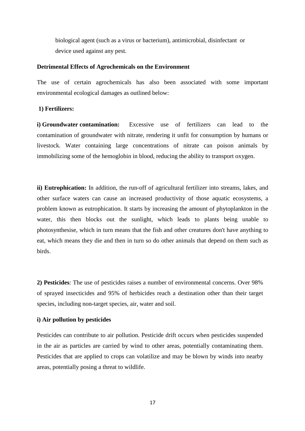biological agent (such as a virus or bacterium), antimicrobial, disinfectant or device used against any pest.

#### **Detrimental Effects of Agrochemicals on the Environment**

The use of certain agrochemicals has also been associated with some important environmental ecological damages as outlined below:

#### **1) Fertilizers:**

**i) Groundwater contamination:** Excessive use of fertilizers can lead to the contamination of groundwater with nitrate, rendering it unfit for consumption by humans or livestock. Water containing large concentrations of nitrate can poison animals by immobilizing some of the hemoglobin in blood, reducing the ability to transport oxygen.

**ii) Eutrophication:** In addition, the run-off of agricultural fertilizer into streams, lakes, and other surface waters can cause an increased productivity of those aquatic ecosystems, a problem known as eutrophication. It starts by increasing the amount of phytoplankton in the water, this then blocks out the sunlight, which leads to plants being unable to photosynthesise, which in turn means that the fish and other creatures don't have anything to eat, which means they die and then in turn so do other animals that depend on them such as birds.

**2) Pesticides**: The use of pesticides raises a number of environmental concerns. Over 98% of sprayed insecticides and 95% of herbicides reach a destination other than their target species, including non-target species, air, water and soil.

#### **i) Air pollution by pesticides**

Pesticides can contribute to air pollution. Pesticide drift occurs when pesticides suspended in the air as particles are carried by wind to other areas, potentially contaminating them. Pesticides that are applied to crops can volatilize and may be blown by winds into nearby areas, potentially posing a threat to wildlife.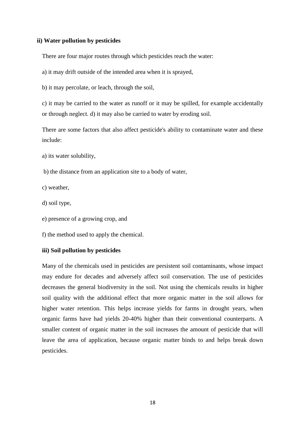#### **ii) Water pollution by pesticides**

There are four major routes through which pesticides reach the water:

a) it may drift outside of the intended area when it is sprayed,

b) it may percolate, or leach, through the soil,

c) it may be carried to the water as runoff or it may be spilled, for example accidentally or through neglect. d) it may also be carried to water by eroding soil.

There are some factors that also affect pesticide's ability to contaminate water and these include:

- a) its water solubility,
- b) the distance from an application site to a body of water,
- c) weather,
- d) soil type,
- e) presence of a growing crop, and

f) the method used to apply the chemical.

#### **iii) Soil pollution by pesticides**

Many of the chemicals used in pesticides are persistent soil contaminants, whose impact may endure for decades and adversely affect soil conservation. The use of pesticides decreases the general biodiversity in the soil. Not using the chemicals results in higher soil quality with the additional effect that more organic matter in the soil allows for higher water retention. This helps increase yields for farms in drought years, when organic farms have had yields 20-40% higher than their conventional counterparts. A smaller content of organic matter in the soil increases the amount of pesticide that will leave the area of application, because organic matter binds to and helps break down pesticides.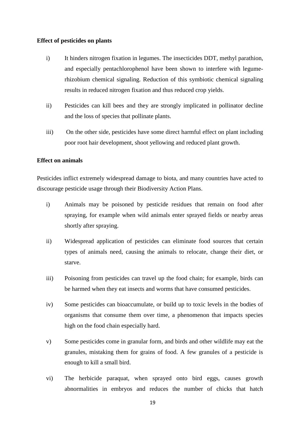#### **Effect of pesticides on plants**

- i) It hinders nitrogen fixation in legumes. The insecticides DDT, methyl parathion, and especially pentachlorophenol have been shown to interfere with legumerhizobium chemical signaling. Reduction of this symbiotic chemical signaling results in reduced nitrogen fixation and thus reduced crop yields.
- ii) Pesticides can kill bees and they are strongly implicated in pollinator decline and the loss of species that pollinate plants.
- iii) On the other side, pesticides have some direct harmful effect on plant including poor root hair development, shoot yellowing and reduced plant growth.

#### **Effect on animals**

Pesticides inflict extremely widespread damage to biota, and many countries have acted to discourage pesticide usage through their Biodiversity Action Plans.

- i) Animals may be poisoned by pesticide residues that remain on food after spraying, for example when wild animals enter sprayed fields or nearby areas shortly after spraying.
- ii) Widespread application of pesticides can eliminate food sources that certain types of animals need, causing the animals to relocate, change their diet, or starve.
- iii) Poisoning from pesticides can travel up the food chain; for example, birds can be harmed when they eat insects and worms that have consumed pesticides.
- iv) Some pesticides can bioaccumulate, or build up to toxic levels in the bodies of organisms that consume them over time, a phenomenon that impacts species high on the food chain especially hard.
- v) Some pesticides come in granular form, and birds and other wildlife may eat the granules, mistaking them for grains of food. A few granules of a pesticide is enough to kill a small bird.
- vi) The herbicide paraquat, when sprayed onto bird eggs, causes growth abnormalities in embryos and reduces the number of chicks that hatch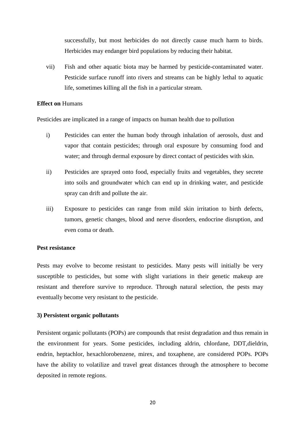successfully, but most herbicides do not directly cause much harm to birds. Herbicides may endanger bird populations by reducing their habitat.

vii) Fish and other aquatic biota may be harmed by pesticide-contaminated water. Pesticide surface runoff into rivers and streams can be highly lethal to aquatic life, sometimes killing all the fish in a particular stream.

#### **Effect on** Humans

Pesticides are implicated in a range of impacts on human health due to pollution

- i) Pesticides can enter the human body through inhalation of aerosols, dust and vapor that contain pesticides; through oral exposure by consuming food and water; and through dermal exposure by direct contact of pesticides with skin.
- ii) Pesticides are sprayed onto food, especially fruits and vegetables, they secrete into soils and groundwater which can end up in drinking water, and pesticide spray can drift and pollute the air.
- iii) Exposure to pesticides can range from mild skin irritation to birth defects, tumors, genetic changes, blood and nerve disorders, endocrine disruption, and even coma or death.

#### **Pest resistance**

Pests may evolve to become resistant to pesticides. Many pests will initially be very susceptible to pesticides, but some with slight variations in their genetic makeup are resistant and therefore survive to reproduce. Through natural selection, the pests may eventually become very resistant to the pesticide.

### **3) Persistent organic pollutants**

Persistent organic pollutants (POPs) are compounds that resist degradation and thus remain in the environment for years. Some pesticides, including aldrin, chlordane, DDT,dieldrin, endrin, heptachlor, hexachlorobenzene, mirex, and toxaphene, are considered POPs. POPs have the ability to volatilize and travel great distances through the atmosphere to become deposited in remote regions.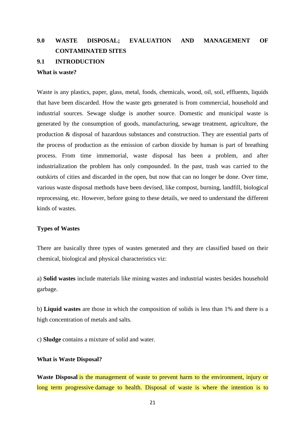# **9.0 WASTE DISPOSAL; EVALUATION AND MANAGEMENT OF CONTAMINATED SITES 9.1 INTRODUCTION**

#### **What is waste?**

Waste is any plastics, paper, glass, metal, foods, chemicals, wood, oil, soil, effluents, liquids that have been discarded. How the waste gets generated is from commercial, household and industrial sources. Sewage sludge is another source. Domestic and municipal waste is generated by the consumption of goods, manufacturing, sewage treatment, agriculture, the production & disposal of hazardous substances and construction. They are essential parts of the process of production as the emission of carbon dioxide by human is part of breathing process. From time immemorial, waste disposal has been a problem, and after industrialization the problem has only compounded. In the past, trash was carried to the outskirts of cities and discarded in the open, but now that can no longer be done. Over time, various waste disposal methods have been devised, like compost, burning, landfill, biological reprocessing, etc. However, before going to these details, we need to understand the different kinds of wastes.

#### **Types of Wastes**

There are basically three types of wastes generated and they are classified based on their chemical, biological and physical characteristics viz:

a) **Solid wastes** include materials like mining wastes and industrial wastes besides household garbage.

b) **Liquid wastes** are those in which the composition of solids is less than 1% and there is a high concentration of metals and salts.

c) **Sludge** contains a mixture of solid and water.

#### **What is Waste Disposal?**

**Waste Disposal** is the management of waste to prevent harm to the environment, injury or long term progressive damage to health. Disposal of waste is where the intention is to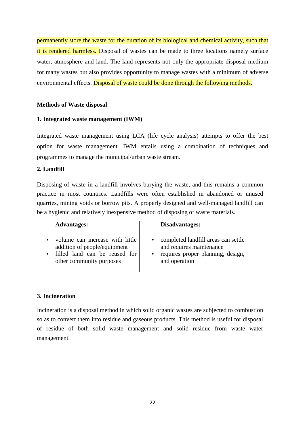permanently store the waste for the duration of its biological and chemical activity, such that it is rendered harmless. Disposal of wastes can be made to three locations namely surface water, atmosphere and land. The land represents not only the appropriate disposal medium for many wastes but also provides opportunity to manage wastes with a minimum of adverse environmental effects. Disposal of waste could be done through the following methods.

## **Methods of Waste disposal**

# **1. Integrated waste management (IWM)**

Integrated waste management using LCA (life cycle analysis) attempts to offer the best option for waste management. IWM entails using a combination of techniques and programmes to manage the municipal/urban waste stream.

# **2. Landfill**

Disposing of waste in a landfill involves burying the waste, and this remains a common practice in most countries. Landfills were often established in abandoned or unused quarries, mining voids or borrow pits. A properly designed and well-managed landfill can be a hygienic and relatively inexpensive method of disposing of waste materials.

| <b>Advantages:</b>                                                                                                                        | Disadvantages:                                                                                                        |
|-------------------------------------------------------------------------------------------------------------------------------------------|-----------------------------------------------------------------------------------------------------------------------|
| volume can increase with little<br>$\bullet$<br>addition of people/equipment<br>filled land can be reused for<br>other community purposes | completed landfill areas can settle<br>and requires maintenance<br>requires proper planning, design,<br>and operation |

### **3. Incineration**

Incineration is a disposal method in which solid organic wastes are subjected to combustion so as to convert them into residue and gaseous products. This method is useful for disposal of residue of both solid waste management and solid residue from waste water management.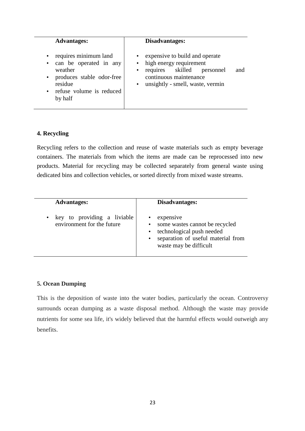| <b>Advantages:</b>                                                                                                                                                                 | Disadvantages:                                                                                                                                                                            |
|------------------------------------------------------------------------------------------------------------------------------------------------------------------------------------|-------------------------------------------------------------------------------------------------------------------------------------------------------------------------------------------|
| requires minimum land<br>$\bullet$<br>can be operated in any<br>$\bullet$<br>weather<br>produces stable odor-free<br>$\bullet$<br>residue<br>• refuse volume is reduced<br>by half | expensive to build and operate<br>high energy requirement<br>requires skilled<br>and<br>personnel<br>$\bullet$<br>continuous maintenance<br>unsightly - smell, waste, vermin<br>$\bullet$ |

# **4. Recycling**

Recycling refers to the collection and reuse of waste materials such as empty beverage containers. The materials from which the items are made can be reprocessed into new products. Material for recycling may be collected separately from general waste using dedicated bins and collection vehicles, or sorted directly from mixed waste streams.

| <b>Advantages:</b>                                        | Disadvantages:                                                                                                                                                                  |
|-----------------------------------------------------------|---------------------------------------------------------------------------------------------------------------------------------------------------------------------------------|
| key to providing a liviable<br>environment for the future | expensive<br>some wastes cannot be recycled<br>$\bullet$<br>technological push needed<br>$\bullet$<br>separation of useful material from<br>$\bullet$<br>waste may be difficult |

### **5. Ocean Dumping**

This is the deposition of waste into the water bodies, particularly the ocean. Controversy surrounds ocean dumping as a waste disposal method. Although the waste may provide nutrients for some sea life, it's widely believed that the harmful effects would outweigh any benefits.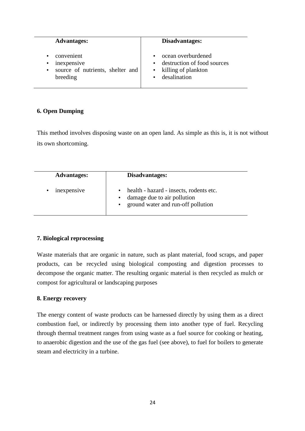| <b>Advantages:</b>                                                                                               | Disadvantages:                                                                             |
|------------------------------------------------------------------------------------------------------------------|--------------------------------------------------------------------------------------------|
| convenient<br>$\bullet$<br>inexpensive<br>$\bullet$<br>source of nutrients, shelter and<br>$\bullet$<br>breeding | ocean overburdened<br>destruction of food sources<br>• killing of plankton<br>desalination |

# **6. Open Dumping**

This method involves disposing waste on an open land. As simple as this is, it is not without its own shortcoming.

| <b>Advantages:</b> | Disadvantages:                                                                                               |
|--------------------|--------------------------------------------------------------------------------------------------------------|
| inexpensive        | health - hazard - insects, rodents etc.<br>damage due to air pollution<br>ground water and run-off pollution |

# **7. Biological reprocessing**

Waste materials that are organic in nature, such as plant material, food scraps, and paper products, can be recycled using biological composting and digestion processes to decompose the organic matter. The resulting organic material is then recycled as mulch or compost for agricultural or landscaping purposes

# **8. Energy recovery**

The energy content of waste products can be harnessed directly by using them as a direct combustion fuel, or indirectly by processing them into another type of fuel. Recycling through thermal treatment ranges from using waste as a fuel source for cooking or heating, to anaerobic digestion and the use of the gas fuel (see above), to fuel for boilers to generate steam and electricity in a turbine.